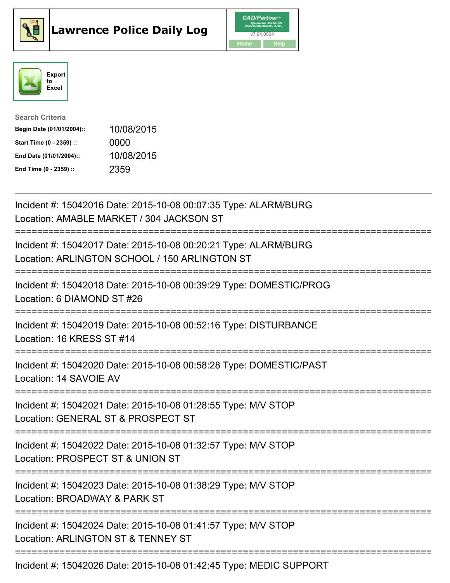





| <b>Search Criteria</b>    |            |
|---------------------------|------------|
| Begin Date (01/01/2004):: | 10/08/2015 |
| Start Time (0 - 2359) ::  | 0000       |
| End Date (01/01/2004)::   | 10/08/2015 |
| End Time (0 - 2359) ::    | 2359       |

| Incident #: 15042016 Date: 2015-10-08 00:07:35 Type: ALARM/BURG<br>Location: AMABLE MARKET / 304 JACKSON ST                      |
|----------------------------------------------------------------------------------------------------------------------------------|
| Incident #: 15042017 Date: 2015-10-08 00:20:21 Type: ALARM/BURG<br>Location: ARLINGTON SCHOOL / 150 ARLINGTON ST                 |
| Incident #: 15042018 Date: 2015-10-08 00:39:29 Type: DOMESTIC/PROG<br>Location: 6 DIAMOND ST #26                                 |
| Incident #: 15042019 Date: 2015-10-08 00:52:16 Type: DISTURBANCE<br>Location: 16 KRESS ST #14                                    |
| Incident #: 15042020 Date: 2015-10-08 00:58:28 Type: DOMESTIC/PAST<br>Location: 14 SAVOIE AV                                     |
| Incident #: 15042021 Date: 2015-10-08 01:28:55 Type: M/V STOP<br>Location: GENERAL ST & PROSPECT ST                              |
| Incident #: 15042022 Date: 2015-10-08 01:32:57 Type: M/V STOP<br>Location: PROSPECT ST & UNION ST<br>:========================== |
| Incident #: 15042023 Date: 2015-10-08 01:38:29 Type: M/V STOP<br>Location: BROADWAY & PARK ST                                    |
| ------------------------<br>Incident #: 15042024 Date: 2015-10-08 01:41:57 Type: M/V STOP<br>Location: ARLINGTON ST & TENNEY ST  |
| Incident #: 15042026 Date: 2015-10-08 01:42:45 Type: MEDIC SUPPORT                                                               |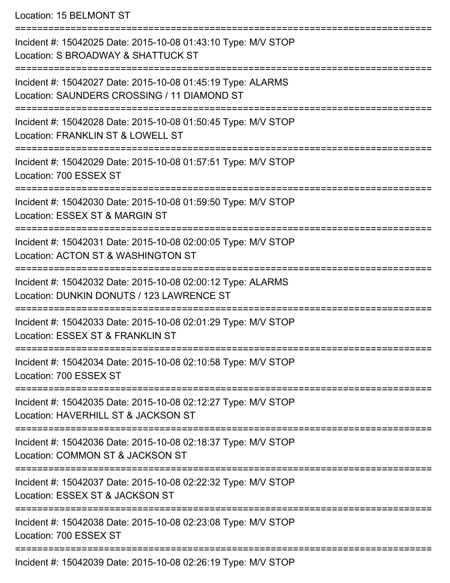Location: 15 BELMONT ST

| Incident #: 15042025 Date: 2015-10-08 01:43:10 Type: M/V STOP<br>Location: S BROADWAY & SHATTUCK ST        |
|------------------------------------------------------------------------------------------------------------|
| Incident #: 15042027 Date: 2015-10-08 01:45:19 Type: ALARMS<br>Location: SAUNDERS CROSSING / 11 DIAMOND ST |
| Incident #: 15042028 Date: 2015-10-08 01:50:45 Type: M/V STOP<br>Location: FRANKLIN ST & LOWELL ST         |
| Incident #: 15042029 Date: 2015-10-08 01:57:51 Type: M/V STOP<br>Location: 700 ESSEX ST                    |
| Incident #: 15042030 Date: 2015-10-08 01:59:50 Type: M/V STOP<br>Location: ESSEX ST & MARGIN ST            |
| Incident #: 15042031 Date: 2015-10-08 02:00:05 Type: M/V STOP<br>Location: ACTON ST & WASHINGTON ST        |
| Incident #: 15042032 Date: 2015-10-08 02:00:12 Type: ALARMS<br>Location: DUNKIN DONUTS / 123 LAWRENCE ST   |
| Incident #: 15042033 Date: 2015-10-08 02:01:29 Type: M/V STOP<br>Location: ESSEX ST & FRANKLIN ST          |
| Incident #: 15042034 Date: 2015-10-08 02:10:58 Type: M/V STOP<br>Location: 700 ESSEX ST                    |
| Incident #: 15042035 Date: 2015-10-08 02:12:27 Type: M/V STOP<br>Location: HAVERHILL ST & JACKSON ST       |
| Incident #: 15042036 Date: 2015-10-08 02:18:37 Type: M/V STOP<br>Location: COMMON ST & JACKSON ST          |
| Incident #: 15042037 Date: 2015-10-08 02:22:32 Type: M/V STOP<br>Location: ESSEX ST & JACKSON ST           |
| Incident #: 15042038 Date: 2015-10-08 02:23:08 Type: M/V STOP<br>Location: 700 ESSEX ST                    |
| $10000 \text{ D}_{\text{obs}}$ , $0045$ , $40,00,00,40$ , $\pi_{\text{max}}$ , $111107$                    |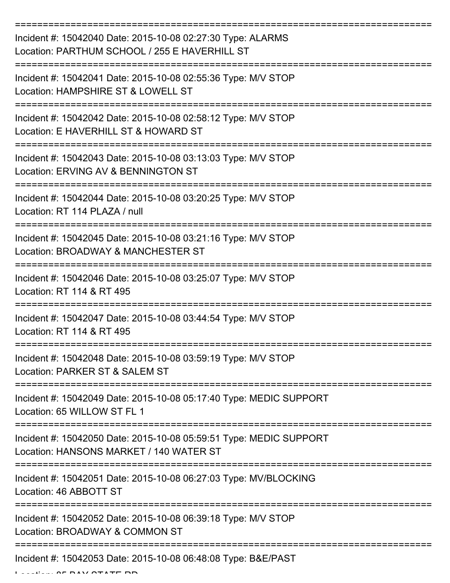| Incident #: 15042040 Date: 2015-10-08 02:27:30 Type: ALARMS<br>Location: PARTHUM SCHOOL / 255 E HAVERHILL ST  |
|---------------------------------------------------------------------------------------------------------------|
| Incident #: 15042041 Date: 2015-10-08 02:55:36 Type: M/V STOP<br>Location: HAMPSHIRE ST & LOWELL ST           |
| Incident #: 15042042 Date: 2015-10-08 02:58:12 Type: M/V STOP<br>Location: E HAVERHILL ST & HOWARD ST         |
| Incident #: 15042043 Date: 2015-10-08 03:13:03 Type: M/V STOP<br>Location: ERVING AV & BENNINGTON ST          |
| Incident #: 15042044 Date: 2015-10-08 03:20:25 Type: M/V STOP<br>Location: RT 114 PLAZA / null                |
| Incident #: 15042045 Date: 2015-10-08 03:21:16 Type: M/V STOP<br>Location: BROADWAY & MANCHESTER ST           |
| Incident #: 15042046 Date: 2015-10-08 03:25:07 Type: M/V STOP<br>Location: RT 114 & RT 495                    |
| Incident #: 15042047 Date: 2015-10-08 03:44:54 Type: M/V STOP<br>Location: RT 114 & RT 495                    |
| Incident #: 15042048 Date: 2015-10-08 03:59:19 Type: M/V STOP<br>Location: PARKER ST & SALEM ST               |
| Incident #: 15042049 Date: 2015-10-08 05:17:40 Type: MEDIC SUPPORT<br>Location: 65 WILLOW ST FL 1             |
| Incident #: 15042050 Date: 2015-10-08 05:59:51 Type: MEDIC SUPPORT<br>Location: HANSONS MARKET / 140 WATER ST |
| Incident #: 15042051 Date: 2015-10-08 06:27:03 Type: MV/BLOCKING<br>Location: 46 ABBOTT ST                    |
| Incident #: 15042052 Date: 2015-10-08 06:39:18 Type: M/V STOP<br>Location: BROADWAY & COMMON ST               |
| Incident #: 15042053 Date: 2015-10-08 06:48:08 Type: B&E/PAST                                                 |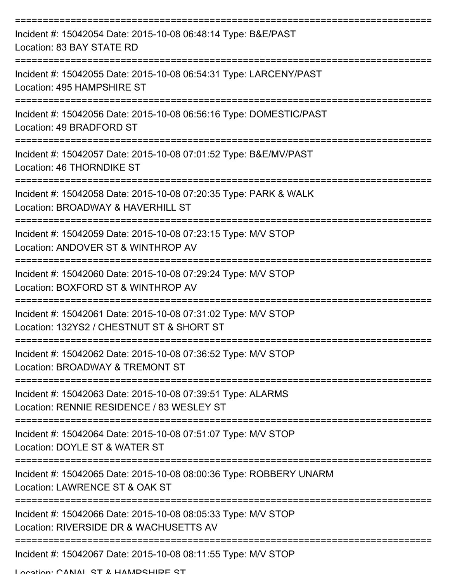| Incident #: 15042054 Date: 2015-10-08 06:48:14 Type: B&E/PAST<br>Location: 83 BAY STATE RD                 |
|------------------------------------------------------------------------------------------------------------|
| Incident #: 15042055 Date: 2015-10-08 06:54:31 Type: LARCENY/PAST<br>Location: 495 HAMPSHIRE ST            |
| Incident #: 15042056 Date: 2015-10-08 06:56:16 Type: DOMESTIC/PAST<br>Location: 49 BRADFORD ST             |
| Incident #: 15042057 Date: 2015-10-08 07:01:52 Type: B&E/MV/PAST<br>Location: 46 THORNDIKE ST              |
| Incident #: 15042058 Date: 2015-10-08 07:20:35 Type: PARK & WALK<br>Location: BROADWAY & HAVERHILL ST      |
| Incident #: 15042059 Date: 2015-10-08 07:23:15 Type: M/V STOP<br>Location: ANDOVER ST & WINTHROP AV        |
| Incident #: 15042060 Date: 2015-10-08 07:29:24 Type: M/V STOP<br>Location: BOXFORD ST & WINTHROP AV        |
| Incident #: 15042061 Date: 2015-10-08 07:31:02 Type: M/V STOP<br>Location: 132YS2 / CHESTNUT ST & SHORT ST |
| Incident #: 15042062 Date: 2015-10-08 07:36:52 Type: M/V STOP<br>Location: BROADWAY & TREMONT ST           |
| Incident #: 15042063 Date: 2015-10-08 07:39:51 Type: ALARMS<br>Location: RENNIE RESIDENCE / 83 WESLEY ST   |
| Incident #: 15042064 Date: 2015-10-08 07:51:07 Type: M/V STOP<br>Location: DOYLE ST & WATER ST             |
| Incident #: 15042065 Date: 2015-10-08 08:00:36 Type: ROBBERY UNARM<br>Location: LAWRENCE ST & OAK ST       |
| Incident #: 15042066 Date: 2015-10-08 08:05:33 Type: M/V STOP<br>Location: RIVERSIDE DR & WACHUSETTS AV    |
| Incident #: 15042067 Date: 2015-10-08 08:11:55 Type: M/V STOP                                              |

Location: CANIAL ST & HAMPSHIPE ST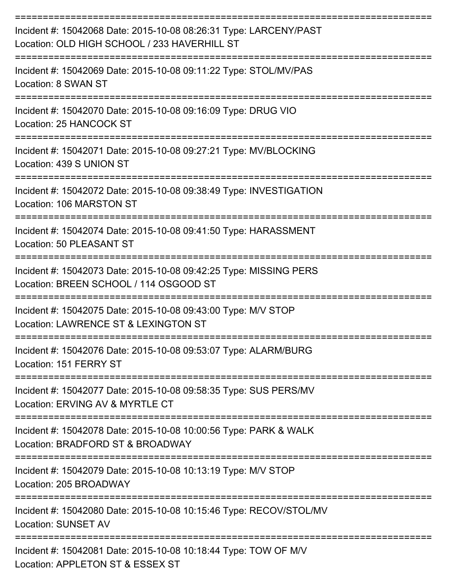| Incident #: 15042068 Date: 2015-10-08 08:26:31 Type: LARCENY/PAST<br>Location: OLD HIGH SCHOOL / 233 HAVERHILL ST |
|-------------------------------------------------------------------------------------------------------------------|
| Incident #: 15042069 Date: 2015-10-08 09:11:22 Type: STOL/MV/PAS<br>Location: 8 SWAN ST                           |
| Incident #: 15042070 Date: 2015-10-08 09:16:09 Type: DRUG VIO<br>Location: 25 HANCOCK ST                          |
| Incident #: 15042071 Date: 2015-10-08 09:27:21 Type: MV/BLOCKING<br>Location: 439 S UNION ST                      |
| Incident #: 15042072 Date: 2015-10-08 09:38:49 Type: INVESTIGATION<br>Location: 106 MARSTON ST                    |
| Incident #: 15042074 Date: 2015-10-08 09:41:50 Type: HARASSMENT<br><b>Location: 50 PLEASANT ST</b>                |
| Incident #: 15042073 Date: 2015-10-08 09:42:25 Type: MISSING PERS<br>Location: BREEN SCHOOL / 114 OSGOOD ST       |
| Incident #: 15042075 Date: 2015-10-08 09:43:00 Type: M/V STOP<br>Location: LAWRENCE ST & LEXINGTON ST             |
| Incident #: 15042076 Date: 2015-10-08 09:53:07 Type: ALARM/BURG<br>Location: 151 FERRY ST                         |
| Incident #: 15042077 Date: 2015-10-08 09:58:35 Type: SUS PERS/MV<br>Location: ERVING AV & MYRTLE CT               |
| Incident #: 15042078 Date: 2015-10-08 10:00:56 Type: PARK & WALK<br>Location: BRADFORD ST & BROADWAY              |
| Incident #: 15042079 Date: 2015-10-08 10:13:19 Type: M/V STOP<br>Location: 205 BROADWAY                           |
| Incident #: 15042080 Date: 2015-10-08 10:15:46 Type: RECOV/STOL/MV<br><b>Location: SUNSET AV</b>                  |
| Incident #: 15042081 Date: 2015-10-08 10:18:44 Type: TOW OF M/V<br>Location: APPLETON ST & ESSEX ST               |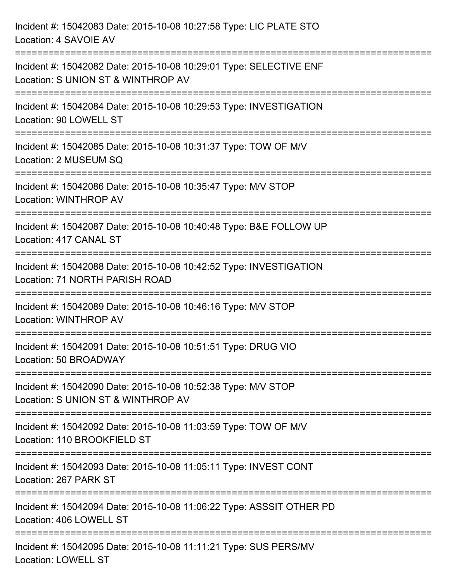| Incident #: 15042083 Date: 2015-10-08 10:27:58 Type: LIC PLATE STO<br>Location: 4 SAVOIE AV                                                                          |
|----------------------------------------------------------------------------------------------------------------------------------------------------------------------|
| ==================================<br>Incident #: 15042082 Date: 2015-10-08 10:29:01 Type: SELECTIVE ENF<br>Location: S UNION ST & WINTHROP AV<br>.----------------- |
| Incident #: 15042084 Date: 2015-10-08 10:29:53 Type: INVESTIGATION<br>Location: 90 LOWELL ST                                                                         |
| Incident #: 15042085 Date: 2015-10-08 10:31:37 Type: TOW OF M/V<br>Location: 2 MUSEUM SQ                                                                             |
| Incident #: 15042086 Date: 2015-10-08 10:35:47 Type: M/V STOP<br>Location: WINTHROP AV                                                                               |
| Incident #: 15042087 Date: 2015-10-08 10:40:48 Type: B&E FOLLOW UP<br>Location: 417 CANAL ST                                                                         |
| Incident #: 15042088 Date: 2015-10-08 10:42:52 Type: INVESTIGATION<br>Location: 71 NORTH PARISH ROAD                                                                 |
| Incident #: 15042089 Date: 2015-10-08 10:46:16 Type: M/V STOP<br>Location: WINTHROP AV                                                                               |
| Incident #: 15042091 Date: 2015-10-08 10:51:51 Type: DRUG VIO<br>Location: 50 BROADWAY                                                                               |
| Incident #: 15042090 Date: 2015-10-08 10:52:38 Type: M/V STOP<br>Location: S UNION ST & WINTHROP AV                                                                  |
| Incident #: 15042092 Date: 2015-10-08 11:03:59 Type: TOW OF M/V<br>Location: 110 BROOKFIELD ST                                                                       |
| Incident #: 15042093 Date: 2015-10-08 11:05:11 Type: INVEST CONT<br>Location: 267 PARK ST                                                                            |
| Incident #: 15042094 Date: 2015-10-08 11:06:22 Type: ASSSIT OTHER PD<br>Location: 406 LOWELL ST                                                                      |
| Incident #: 15042095 Date: 2015-10-08 11:11:21 Type: SUS PERS/MV<br><b>Location: LOWELL ST</b>                                                                       |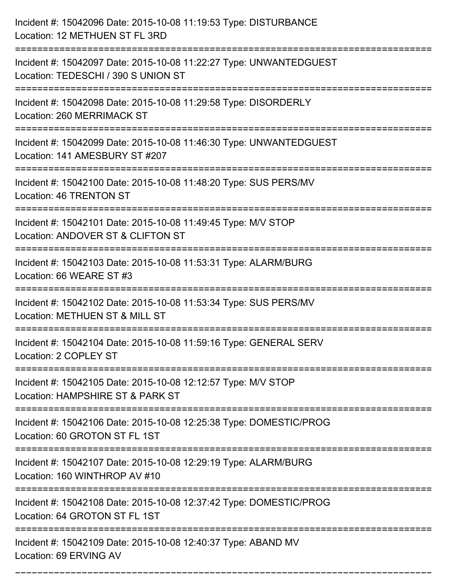| Incident #: 15042096 Date: 2015-10-08 11:19:53 Type: DISTURBANCE<br>Location: 12 METHUEN ST FL 3RD                              |
|---------------------------------------------------------------------------------------------------------------------------------|
| Incident #: 15042097 Date: 2015-10-08 11:22:27 Type: UNWANTEDGUEST<br>Location: TEDESCHI / 390 S UNION ST                       |
| Incident #: 15042098 Date: 2015-10-08 11:29:58 Type: DISORDERLY<br>Location: 260 MERRIMACK ST                                   |
| Incident #: 15042099 Date: 2015-10-08 11:46:30 Type: UNWANTEDGUEST<br>Location: 141 AMESBURY ST #207                            |
| Incident #: 15042100 Date: 2015-10-08 11:48:20 Type: SUS PERS/MV<br><b>Location: 46 TRENTON ST</b>                              |
| Incident #: 15042101 Date: 2015-10-08 11:49:45 Type: M/V STOP<br>Location: ANDOVER ST & CLIFTON ST                              |
| Incident #: 15042103 Date: 2015-10-08 11:53:31 Type: ALARM/BURG<br>Location: 66 WEARE ST #3<br>================================ |
| Incident #: 15042102 Date: 2015-10-08 11:53:34 Type: SUS PERS/MV<br>Location: METHUEN ST & MILL ST                              |
| Incident #: 15042104 Date: 2015-10-08 11:59:16 Type: GENERAL SERV<br>Location: 2 COPLEY ST<br>========================          |
| Incident #: 15042105 Date: 2015-10-08 12:12:57 Type: M/V STOP<br>Location: HAMPSHIRE ST & PARK ST                               |
| Incident #: 15042106 Date: 2015-10-08 12:25:38 Type: DOMESTIC/PROG<br>Location: 60 GROTON ST FL 1ST                             |
| Incident #: 15042107 Date: 2015-10-08 12:29:19 Type: ALARM/BURG<br>Location: 160 WINTHROP AV #10                                |
| Incident #: 15042108 Date: 2015-10-08 12:37:42 Type: DOMESTIC/PROG<br>Location: 64 GROTON ST FL 1ST                             |
| Incident #: 15042109 Date: 2015-10-08 12:40:37 Type: ABAND MV<br>Location: 69 ERVING AV                                         |

===========================================================================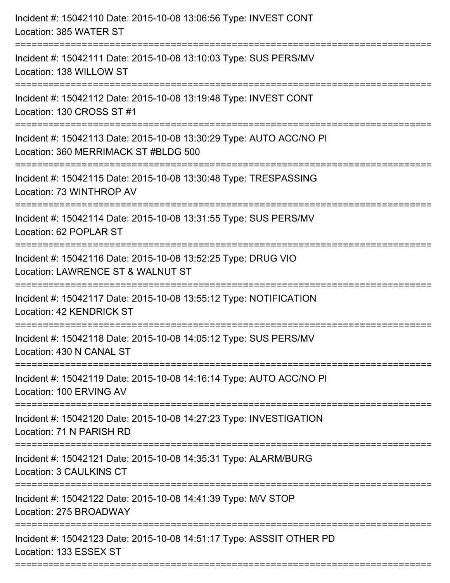| Incident #: 15042110 Date: 2015-10-08 13:06:56 Type: INVEST CONT<br>Location: 385 WATER ST                                    |
|-------------------------------------------------------------------------------------------------------------------------------|
| Incident #: 15042111 Date: 2015-10-08 13:10:03 Type: SUS PERS/MV<br>Location: 138 WILLOW ST                                   |
| Incident #: 15042112 Date: 2015-10-08 13:19:48 Type: INVEST CONT<br>Location: 130 CROSS ST #1                                 |
| Incident #: 15042113 Date: 2015-10-08 13:30:29 Type: AUTO ACC/NO PI<br>Location: 360 MERRIMACK ST #BLDG 500                   |
| Incident #: 15042115 Date: 2015-10-08 13:30:48 Type: TRESPASSING<br>Location: 73 WINTHROP AV                                  |
| Incident #: 15042114 Date: 2015-10-08 13:31:55 Type: SUS PERS/MV<br>Location: 62 POPLAR ST                                    |
| Incident #: 15042116 Date: 2015-10-08 13:52:25 Type: DRUG VIO<br>Location: LAWRENCE ST & WALNUT ST                            |
| Incident #: 15042117 Date: 2015-10-08 13:55:12 Type: NOTIFICATION<br>Location: 42 KENDRICK ST                                 |
| Incident #: 15042118 Date: 2015-10-08 14:05:12 Type: SUS PERS/MV<br>Location: 430 N CANAL ST                                  |
| Incident #: 15042119 Date: 2015-10-08 14:16:14 Type: AUTO ACC/NO PI<br>Location: 100 ERVING AV                                |
| Incident #: 15042120 Date: 2015-10-08 14:27:23 Type: INVESTIGATION<br>Location: 71 N PARISH RD                                |
| Incident #: 15042121 Date: 2015-10-08 14:35:31 Type: ALARM/BURG<br><b>Location: 3 CAULKINS CT</b><br>------------------------ |
| Incident #: 15042122 Date: 2015-10-08 14:41:39 Type: M/V STOP<br>Location: 275 BROADWAY                                       |
| Incident #: 15042123 Date: 2015-10-08 14:51:17 Type: ASSSIT OTHER PD<br>Location: 133 ESSEX ST                                |
|                                                                                                                               |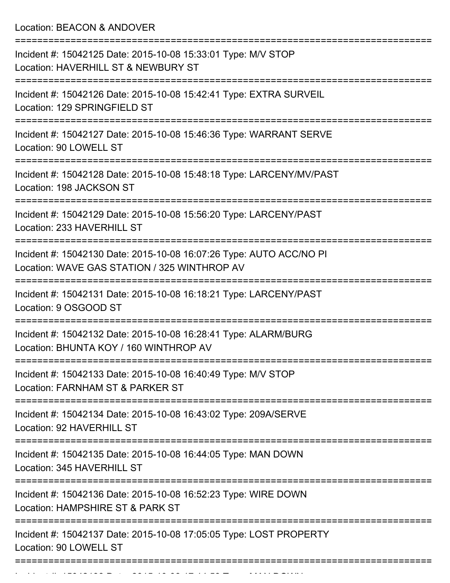Location: BEACON & ANDOVER

| Incident #: 15042125 Date: 2015-10-08 15:33:01 Type: M/V STOP<br>Location: HAVERHILL ST & NEWBURY ST                |
|---------------------------------------------------------------------------------------------------------------------|
| Incident #: 15042126 Date: 2015-10-08 15:42:41 Type: EXTRA SURVEIL<br>Location: 129 SPRINGFIELD ST                  |
| Incident #: 15042127 Date: 2015-10-08 15:46:36 Type: WARRANT SERVE<br>Location: 90 LOWELL ST                        |
| Incident #: 15042128 Date: 2015-10-08 15:48:18 Type: LARCENY/MV/PAST<br>Location: 198 JACKSON ST                    |
| Incident #: 15042129 Date: 2015-10-08 15:56:20 Type: LARCENY/PAST<br>Location: 233 HAVERHILL ST                     |
| Incident #: 15042130 Date: 2015-10-08 16:07:26 Type: AUTO ACC/NO PI<br>Location: WAVE GAS STATION / 325 WINTHROP AV |
| Incident #: 15042131 Date: 2015-10-08 16:18:21 Type: LARCENY/PAST<br>Location: 9 OSGOOD ST                          |
| Incident #: 15042132 Date: 2015-10-08 16:28:41 Type: ALARM/BURG<br>Location: BHUNTA KOY / 160 WINTHROP AV           |
| Incident #: 15042133 Date: 2015-10-08 16:40:49 Type: M/V STOP<br>Location: FARNHAM ST & PARKER ST                   |
| Incident #: 15042134 Date: 2015-10-08 16:43:02 Type: 209A/SERVE<br>Location: 92 HAVERHILL ST                        |
| Incident #: 15042135 Date: 2015-10-08 16:44:05 Type: MAN DOWN<br>Location: 345 HAVERHILL ST                         |
| Incident #: 15042136 Date: 2015-10-08 16:52:23 Type: WIRE DOWN<br>Location: HAMPSHIRE ST & PARK ST                  |
| Incident #: 15042137 Date: 2015-10-08 17:05:05 Type: LOST PROPERTY<br>Location: 90 LOWELL ST                        |
|                                                                                                                     |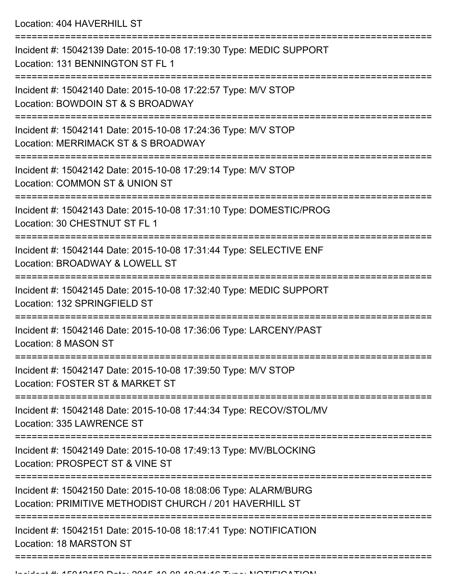Location: 404 HAVERHILL ST

=========================================================================== Incident #: 15042139 Date: 2015-10-08 17:19:30 Type: MEDIC SUPPORT Location: 131 BENNINGTON ST FL 1 =========================================================================== Incident #: 15042140 Date: 2015-10-08 17:22:57 Type: M/V STOP Location: BOWDOIN ST & S BROADWAY =========================================================================== Incident #: 15042141 Date: 2015-10-08 17:24:36 Type: M/V STOP Location: MERRIMACK ST & S BROADWAY =========================================================================== Incident #: 15042142 Date: 2015-10-08 17:29:14 Type: M/V STOP Location: COMMON ST & UNION ST =========================================================================== Incident #: 15042143 Date: 2015-10-08 17:31:10 Type: DOMESTIC/PROG Location: 30 CHESTNUT ST FL 1 =========================================================================== Incident #: 15042144 Date: 2015-10-08 17:31:44 Type: SELECTIVE ENF Location: BROADWAY & LOWELL ST =========================================================================== Incident #: 15042145 Date: 2015-10-08 17:32:40 Type: MEDIC SUPPORT Location: 132 SPRINGFIELD ST =========================================================================== Incident #: 15042146 Date: 2015-10-08 17:36:06 Type: LARCENY/PAST Location: 8 MASON ST =========================================================================== Incident #: 15042147 Date: 2015-10-08 17:39:50 Type: M/V STOP Location: FOSTER ST & MARKET ST =========================================================================== Incident #: 15042148 Date: 2015-10-08 17:44:34 Type: RECOV/STOL/MV Location: 335 LAWRENCE ST =========================================================================== Incident #: 15042149 Date: 2015-10-08 17:49:13 Type: MV/BLOCKING Location: PROSPECT ST & VINE ST =========================================================================== Incident #: 15042150 Date: 2015-10-08 18:08:06 Type: ALARM/BURG Location: PRIMITIVE METHODIST CHURCH / 201 HAVERHILL ST =========================================================================== Incident #: 15042151 Date: 2015-10-08 18:17:41 Type: NOTIFICATION Location: 18 MARSTON ST ===========================================================================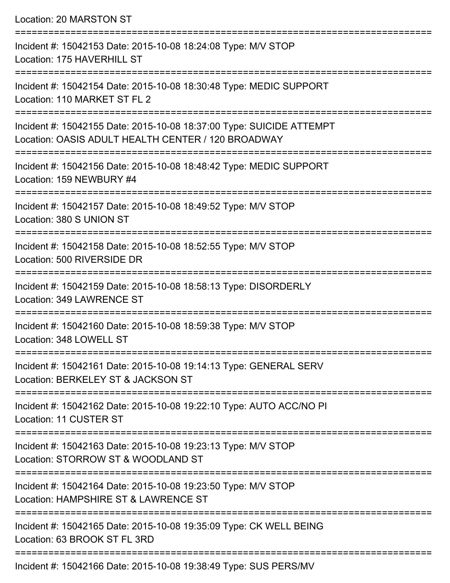Location: 20 MARSTON ST =========================================================================== Incident #: 15042153 Date: 2015-10-08 18:24:08 Type: M/V STOP Location: 175 HAVERHILL ST =========================================================================== Incident #: 15042154 Date: 2015-10-08 18:30:48 Type: MEDIC SUPPORT Location: 110 MARKET ST FL 2 =========================================================================== Incident #: 15042155 Date: 2015-10-08 18:37:00 Type: SUICIDE ATTEMPT Location: OASIS ADULT HEALTH CENTER / 120 BROADWAY =========================================================================== Incident #: 15042156 Date: 2015-10-08 18:48:42 Type: MEDIC SUPPORT Location: 159 NEWBURY #4 =========================================================================== Incident #: 15042157 Date: 2015-10-08 18:49:52 Type: M/V STOP Location: 380 S UNION ST =========================================================================== Incident #: 15042158 Date: 2015-10-08 18:52:55 Type: M/V STOP Location: 500 RIVERSIDE DR =========================================================================== Incident #: 15042159 Date: 2015-10-08 18:58:13 Type: DISORDERLY Location: 349 LAWRENCE ST =========================================================================== Incident #: 15042160 Date: 2015-10-08 18:59:38 Type: M/V STOP Location: 348 LOWELL ST =========================================================================== Incident #: 15042161 Date: 2015-10-08 19:14:13 Type: GENERAL SERV Location: BERKELEY ST & JACKSON ST =========================================================================== Incident #: 15042162 Date: 2015-10-08 19:22:10 Type: AUTO ACC/NO PI Location: 11 CUSTER ST =========================================================================== Incident #: 15042163 Date: 2015-10-08 19:23:13 Type: M/V STOP Location: STORROW ST & WOODLAND ST =========================================================================== Incident #: 15042164 Date: 2015-10-08 19:23:50 Type: M/V STOP Location: HAMPSHIRE ST & LAWRENCE ST =========================================================================== Incident #: 15042165 Date: 2015-10-08 19:35:09 Type: CK WELL BEING Location: 63 BROOK ST FL 3RD ===========================================================================

Incident #: 15042166 Date: 2015-10-08 19:38:49 Type: SUS PERS/MV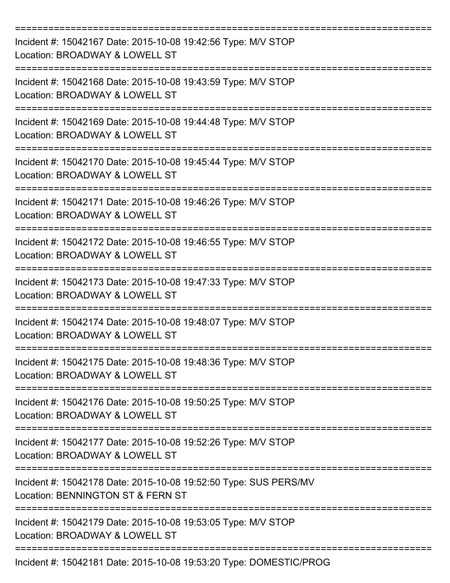| Incident #: 15042167 Date: 2015-10-08 19:42:56 Type: M/V STOP<br>Location: BROADWAY & LOWELL ST       |
|-------------------------------------------------------------------------------------------------------|
| Incident #: 15042168 Date: 2015-10-08 19:43:59 Type: M/V STOP<br>Location: BROADWAY & LOWELL ST       |
| Incident #: 15042169 Date: 2015-10-08 19:44:48 Type: M/V STOP<br>Location: BROADWAY & LOWELL ST       |
| Incident #: 15042170 Date: 2015-10-08 19:45:44 Type: M/V STOP<br>Location: BROADWAY & LOWELL ST       |
| Incident #: 15042171 Date: 2015-10-08 19:46:26 Type: M/V STOP<br>Location: BROADWAY & LOWELL ST       |
| Incident #: 15042172 Date: 2015-10-08 19:46:55 Type: M/V STOP<br>Location: BROADWAY & LOWELL ST       |
| Incident #: 15042173 Date: 2015-10-08 19:47:33 Type: M/V STOP<br>Location: BROADWAY & LOWELL ST       |
| Incident #: 15042174 Date: 2015-10-08 19:48:07 Type: M/V STOP<br>Location: BROADWAY & LOWELL ST       |
| Incident #: 15042175 Date: 2015-10-08 19:48:36 Type: M/V STOP<br>Location: BROADWAY & LOWELL ST       |
| Incident #: 15042176 Date: 2015-10-08 19:50:25 Type: M/V STOP<br>Location: BROADWAY & LOWELL ST       |
| Incident #: 15042177 Date: 2015-10-08 19:52:26 Type: M/V STOP<br>Location: BROADWAY & LOWELL ST       |
| Incident #: 15042178 Date: 2015-10-08 19:52:50 Type: SUS PERS/MV<br>Location: BENNINGTON ST & FERN ST |
| Incident #: 15042179 Date: 2015-10-08 19:53:05 Type: M/V STOP<br>Location: BROADWAY & LOWELL ST       |
| Incident #: 15042181 Date: 2015-10-08 19:53:20 Type: DOMESTIC/PROG                                    |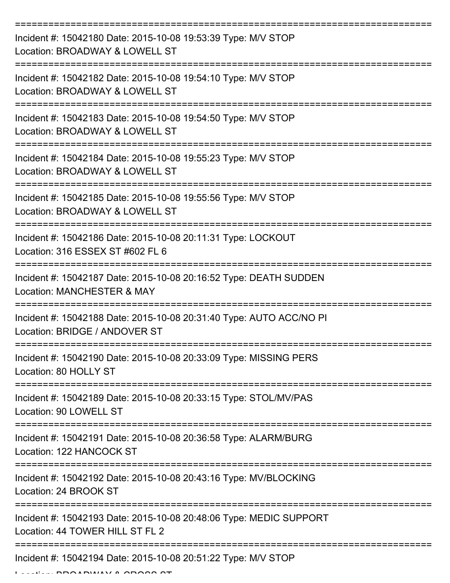| Incident #: 15042180 Date: 2015-10-08 19:53:39 Type: M/V STOP<br>Location: BROADWAY & LOWELL ST              |
|--------------------------------------------------------------------------------------------------------------|
| Incident #: 15042182 Date: 2015-10-08 19:54:10 Type: M/V STOP<br>Location: BROADWAY & LOWELL ST              |
| Incident #: 15042183 Date: 2015-10-08 19:54:50 Type: M/V STOP<br>Location: BROADWAY & LOWELL ST              |
| Incident #: 15042184 Date: 2015-10-08 19:55:23 Type: M/V STOP<br>Location: BROADWAY & LOWELL ST              |
| Incident #: 15042185 Date: 2015-10-08 19:55:56 Type: M/V STOP<br>Location: BROADWAY & LOWELL ST              |
| Incident #: 15042186 Date: 2015-10-08 20:11:31 Type: LOCKOUT<br>Location: 316 ESSEX ST #602 FL 6             |
| Incident #: 15042187 Date: 2015-10-08 20:16:52 Type: DEATH SUDDEN<br>Location: MANCHESTER & MAY<br>========= |
| Incident #: 15042188 Date: 2015-10-08 20:31:40 Type: AUTO ACC/NO PI<br>Location: BRIDGE / ANDOVER ST         |
| Incident #: 15042190 Date: 2015-10-08 20:33:09 Type: MISSING PERS<br>Location: 80 HOLLY ST                   |
| Incident #: 15042189 Date: 2015-10-08 20:33:15 Type: STOL/MV/PAS<br>Location: 90 LOWELL ST                   |
| Incident #: 15042191 Date: 2015-10-08 20:36:58 Type: ALARM/BURG<br>Location: 122 HANCOCK ST                  |
| Incident #: 15042192 Date: 2015-10-08 20:43:16 Type: MV/BLOCKING<br>Location: 24 BROOK ST                    |
| Incident #: 15042193 Date: 2015-10-08 20:48:06 Type: MEDIC SUPPORT<br>Location: 44 TOWER HILL ST FL 2        |
| Incident #: 15042194 Date: 2015-10-08 20:51:22 Type: M/V STOP                                                |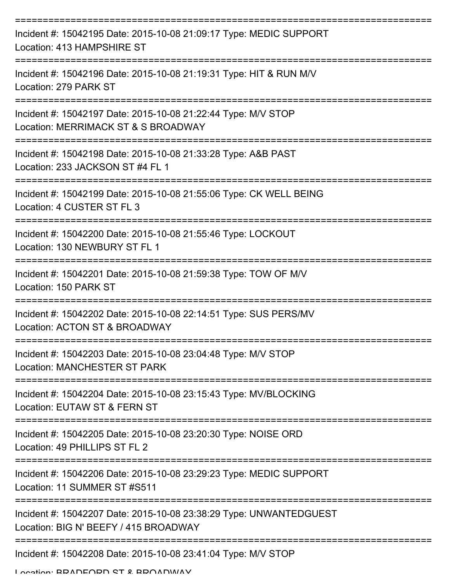| Incident #: 15042195 Date: 2015-10-08 21:09:17 Type: MEDIC SUPPORT<br>Location: 413 HAMPSHIRE ST                            |
|-----------------------------------------------------------------------------------------------------------------------------|
| Incident #: 15042196 Date: 2015-10-08 21:19:31 Type: HIT & RUN M/V<br>Location: 279 PARK ST                                 |
| Incident #: 15042197 Date: 2015-10-08 21:22:44 Type: M/V STOP<br>Location: MERRIMACK ST & S BROADWAY                        |
| ======================<br>Incident #: 15042198 Date: 2015-10-08 21:33:28 Type: A&B PAST<br>Location: 233 JACKSON ST #4 FL 1 |
| Incident #: 15042199 Date: 2015-10-08 21:55:06 Type: CK WELL BEING<br>Location: 4 CUSTER ST FL 3                            |
| Incident #: 15042200 Date: 2015-10-08 21:55:46 Type: LOCKOUT<br>Location: 130 NEWBURY ST FL 1                               |
| Incident #: 15042201 Date: 2015-10-08 21:59:38 Type: TOW OF M/V<br>Location: 150 PARK ST                                    |
| Incident #: 15042202 Date: 2015-10-08 22:14:51 Type: SUS PERS/MV<br>Location: ACTON ST & BROADWAY                           |
| Incident #: 15042203 Date: 2015-10-08 23:04:48 Type: M/V STOP<br><b>Location: MANCHESTER ST PARK</b>                        |
| Incident #: 15042204 Date: 2015-10-08 23:15:43 Type: MV/BLOCKING<br>Location: EUTAW ST & FERN ST                            |
| Incident #: 15042205 Date: 2015-10-08 23:20:30 Type: NOISE ORD<br>Location: 49 PHILLIPS ST FL 2                             |
| Incident #: 15042206 Date: 2015-10-08 23:29:23 Type: MEDIC SUPPORT<br>Location: 11 SUMMER ST #S511                          |
| Incident #: 15042207 Date: 2015-10-08 23:38:29 Type: UNWANTEDGUEST<br>Location: BIG N' BEEFY / 415 BROADWAY                 |
| Incident #: 15042208 Date: 2015-10-08 23:41:04 Type: M/V STOP                                                               |

Location: BRADFORD ST & BROADWAY